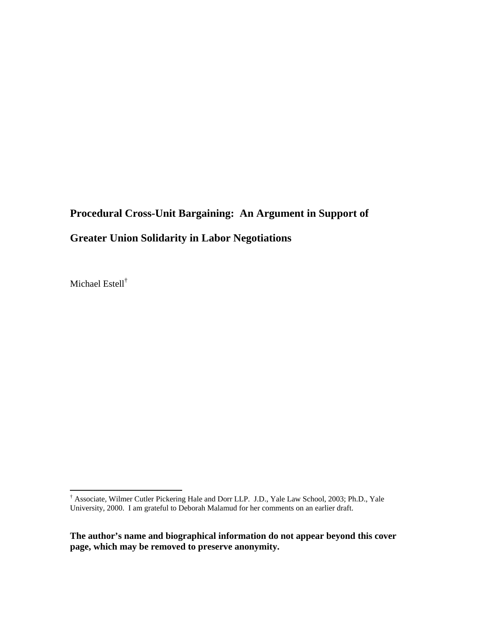# **Procedural Cross-Unit Bargaining: An Argument in Support of Greater Union Solidarity in Labor Negotiations**

Michael Estell†

 † Associate, Wilmer Cutler Pickering Hale and Dorr LLP. J.D., Yale Law School, 2003; Ph.D., Yale University, 2000. I am grateful to Deborah Malamud for her comments on an earlier draft.

**The author's name and biographical information do not appear beyond this cover page, which may be removed to preserve anonymity.**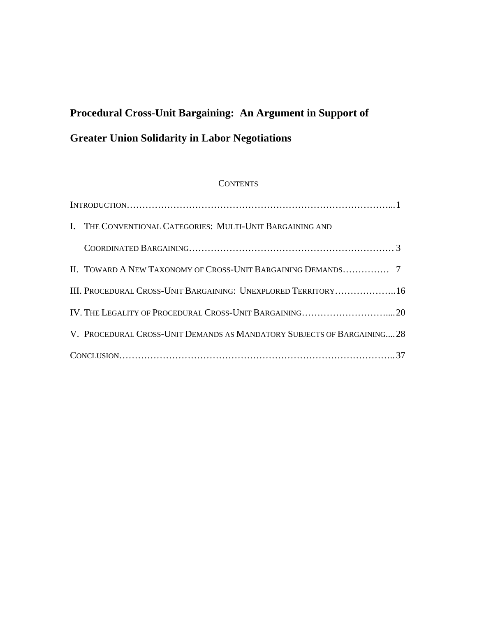# **Procedural Cross-Unit Bargaining: An Argument in Support of Greater Union Solidarity in Labor Negotiations**

### **CONTENTS**

| I. THE CONVENTIONAL CATEGORIES: MULTI-UNIT BARGAINING AND              |  |
|------------------------------------------------------------------------|--|
|                                                                        |  |
|                                                                        |  |
| III. PROCEDURAL CROSS-UNIT BARGAINING: UNEXPLORED TERRITORY16          |  |
|                                                                        |  |
| V. PROCEDURAL CROSS-UNIT DEMANDS AS MANDATORY SUBJECTS OF BARGAINING28 |  |
|                                                                        |  |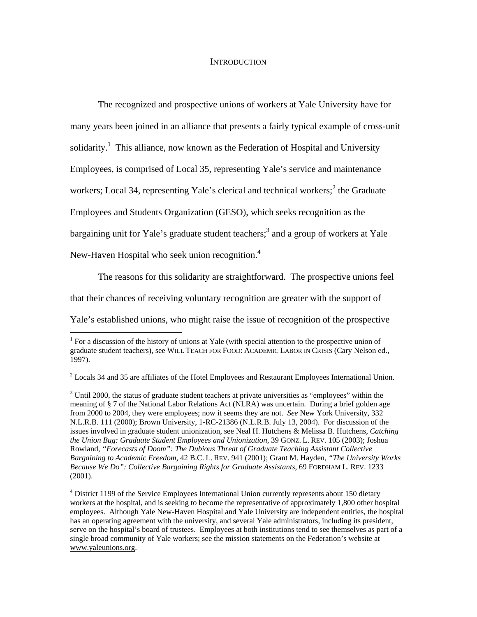#### **INTRODUCTION**

 The recognized and prospective unions of workers at Yale University have for many years been joined in an alliance that presents a fairly typical example of cross-unit solidarity.<sup>1</sup> This alliance, now known as the Federation of Hospital and University Employees, is comprised of Local 35, representing Yale's service and maintenance workers; Local 34, representing Yale's clerical and technical workers;<sup>2</sup> the Graduate Employees and Students Organization (GESO), which seeks recognition as the bargaining unit for Yale's graduate student teachers;<sup>3</sup> and a group of workers at Yale New-Haven Hospital who seek union recognition.<sup>4</sup>

The reasons for this solidarity are straightforward. The prospective unions feel

that their chances of receiving voluntary recognition are greater with the support of

 $\overline{a}$ 

Yale's established unions, who might raise the issue of recognition of the prospective

 $<sup>1</sup>$  For a discussion of the history of unions at Yale (with special attention to the prospective union of</sup> graduate student teachers), see WILL TEACH FOR FOOD: ACADEMIC LABOR IN CRISIS (Cary Nelson ed., 1997).

 $2$  Locals 34 and 35 are affiliates of the Hotel Employees and Restaurant Employees International Union.

 $3$  Until 2000, the status of graduate student teachers at private universities as "employees" within the meaning of § 7 of the National Labor Relations Act (NLRA) was uncertain. During a brief golden age from 2000 to 2004, they were employees; now it seems they are not. *See* New York University, 332 N.L.R.B. 111 (2000); Brown University, 1-RC-21386 (N.L.R.B. July 13, 2004). For discussion of the issues involved in graduate student unionization, see Neal H. Hutchens & Melissa B. Hutchens, *Catching the Union Bug: Graduate Student Employees and Unionization*, 39 GONZ. L. REV. 105 (2003); Joshua Rowland, *"Forecasts of Doom": The Dubious Threat of Graduate Teaching Assistant Collective Bargaining to Academic Freedom*, 42 B.C. L. REV. 941 (2001); Grant M. Hayden, *"The University Works Because We Do": Collective Bargaining Rights for Graduate Assistants*, 69 FORDHAM L. REV. 1233 (2001).

<sup>&</sup>lt;sup>4</sup> District 1199 of the Service Employees International Union currently represents about 150 dietary workers at the hospital, and is seeking to become the representative of approximately 1,800 other hospital employees. Although Yale New-Haven Hospital and Yale University are independent entities, the hospital has an operating agreement with the university, and several Yale administrators, including its president, serve on the hospital's board of trustees. Employees at both institutions tend to see themselves as part of a single broad community of Yale workers; see the mission statements on the Federation's website at www.yaleunions.org.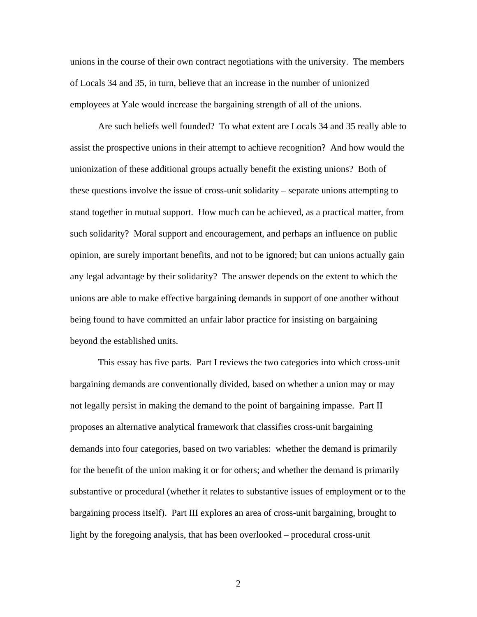unions in the course of their own contract negotiations with the university. The members of Locals 34 and 35, in turn, believe that an increase in the number of unionized employees at Yale would increase the bargaining strength of all of the unions.

 Are such beliefs well founded? To what extent are Locals 34 and 35 really able to assist the prospective unions in their attempt to achieve recognition? And how would the unionization of these additional groups actually benefit the existing unions? Both of these questions involve the issue of cross-unit solidarity – separate unions attempting to stand together in mutual support. How much can be achieved, as a practical matter, from such solidarity? Moral support and encouragement, and perhaps an influence on public opinion, are surely important benefits, and not to be ignored; but can unions actually gain any legal advantage by their solidarity? The answer depends on the extent to which the unions are able to make effective bargaining demands in support of one another without being found to have committed an unfair labor practice for insisting on bargaining beyond the established units.

 This essay has five parts. Part I reviews the two categories into which cross-unit bargaining demands are conventionally divided, based on whether a union may or may not legally persist in making the demand to the point of bargaining impasse. Part II proposes an alternative analytical framework that classifies cross-unit bargaining demands into four categories, based on two variables: whether the demand is primarily for the benefit of the union making it or for others; and whether the demand is primarily substantive or procedural (whether it relates to substantive issues of employment or to the bargaining process itself). Part III explores an area of cross-unit bargaining, brought to light by the foregoing analysis, that has been overlooked – procedural cross-unit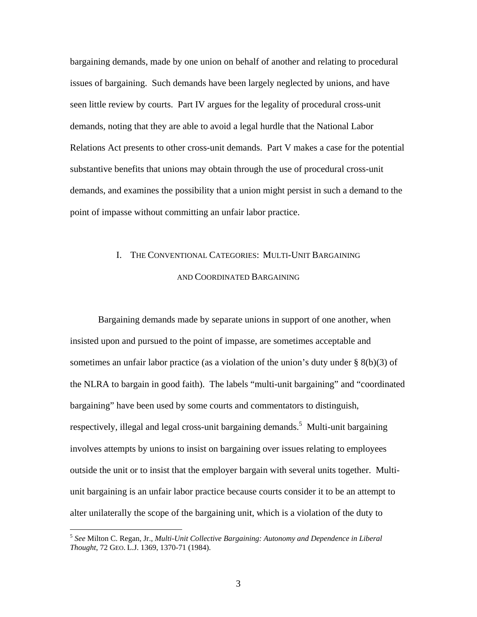bargaining demands, made by one union on behalf of another and relating to procedural issues of bargaining. Such demands have been largely neglected by unions, and have seen little review by courts. Part IV argues for the legality of procedural cross-unit demands, noting that they are able to avoid a legal hurdle that the National Labor Relations Act presents to other cross-unit demands. Part V makes a case for the potential substantive benefits that unions may obtain through the use of procedural cross-unit demands, and examines the possibility that a union might persist in such a demand to the point of impasse without committing an unfair labor practice.

### I. THE CONVENTIONAL CATEGORIES: MULTI-UNIT BARGAINING AND COORDINATED BARGAINING

 Bargaining demands made by separate unions in support of one another, when insisted upon and pursued to the point of impasse, are sometimes acceptable and sometimes an unfair labor practice (as a violation of the union's duty under  $\S$  8(b)(3) of the NLRA to bargain in good faith). The labels "multi-unit bargaining" and "coordinated bargaining" have been used by some courts and commentators to distinguish, respectively, illegal and legal cross-unit bargaining demands.<sup>5</sup> Multi-unit bargaining involves attempts by unions to insist on bargaining over issues relating to employees outside the unit or to insist that the employer bargain with several units together. Multiunit bargaining is an unfair labor practice because courts consider it to be an attempt to alter unilaterally the scope of the bargaining unit, which is a violation of the duty to

<sup>5</sup> *See* Milton C. Regan, Jr., *Multi-Unit Collective Bargaining: Autonomy and Dependence in Liberal Thought*, 72 GEO. L.J. 1369, 1370-71 (1984).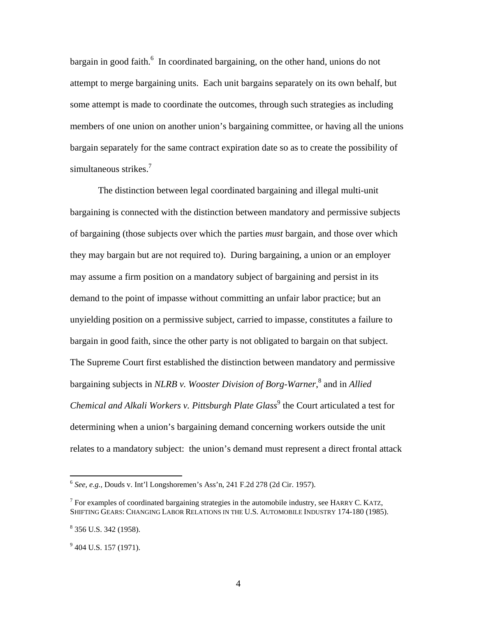bargain in good faith.<sup>6</sup> In coordinated bargaining, on the other hand, unions do not attempt to merge bargaining units. Each unit bargains separately on its own behalf, but some attempt is made to coordinate the outcomes, through such strategies as including members of one union on another union's bargaining committee, or having all the unions bargain separately for the same contract expiration date so as to create the possibility of simultaneous strikes.<sup>7</sup>

 The distinction between legal coordinated bargaining and illegal multi-unit bargaining is connected with the distinction between mandatory and permissive subjects of bargaining (those subjects over which the parties *must* bargain, and those over which they may bargain but are not required to). During bargaining, a union or an employer may assume a firm position on a mandatory subject of bargaining and persist in its demand to the point of impasse without committing an unfair labor practice; but an unyielding position on a permissive subject, carried to impasse, constitutes a failure to bargain in good faith, since the other party is not obligated to bargain on that subject. The Supreme Court first established the distinction between mandatory and permissive bargaining subjects in *NLRB v. Wooster Division of Borg-Warner*, 8 and in *Allied*  Chemical and Alkali Workers v. Pittsburgh Plate Glass<sup>9</sup> the Court articulated a test for determining when a union's bargaining demand concerning workers outside the unit relates to a mandatory subject: the union's demand must represent a direct frontal attack

<sup>6</sup> *See, e.g.,* Douds v. Int'l Longshoremen's Ass'n, 241 F.2d 278 (2d Cir. 1957).

<sup>&</sup>lt;sup>7</sup> For examples of coordinated bargaining strategies in the automobile industry, see HARRY C. KATZ, SHIFTING GEARS: CHANGING LABOR RELATIONS IN THE U.S. AUTOMOBILE INDUSTRY 174-180 (1985).

<sup>&</sup>lt;sup>8</sup> 356 U.S. 342 (1958).

 $9$  404 U.S. 157 (1971).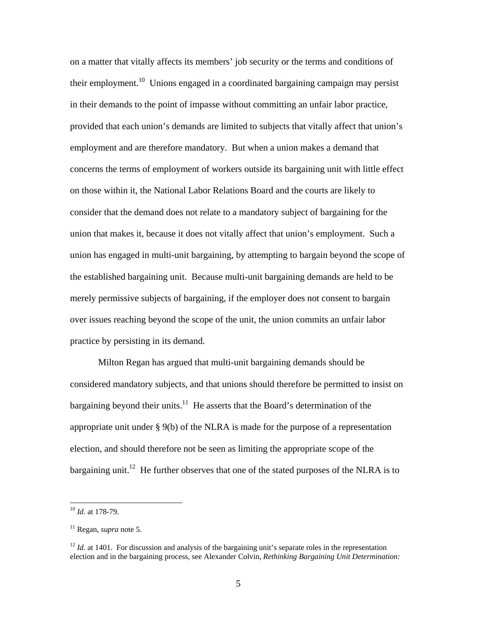on a matter that vitally affects its members' job security or the terms and conditions of their employment.<sup>10</sup> Unions engaged in a coordinated bargaining campaign may persist in their demands to the point of impasse without committing an unfair labor practice, provided that each union's demands are limited to subjects that vitally affect that union's employment and are therefore mandatory. But when a union makes a demand that concerns the terms of employment of workers outside its bargaining unit with little effect on those within it, the National Labor Relations Board and the courts are likely to consider that the demand does not relate to a mandatory subject of bargaining for the union that makes it, because it does not vitally affect that union's employment. Such a union has engaged in multi-unit bargaining, by attempting to bargain beyond the scope of the established bargaining unit. Because multi-unit bargaining demands are held to be merely permissive subjects of bargaining, if the employer does not consent to bargain over issues reaching beyond the scope of the unit, the union commits an unfair labor practice by persisting in its demand.

 Milton Regan has argued that multi-unit bargaining demands should be considered mandatory subjects, and that unions should therefore be permitted to insist on bargaining beyond their units.<sup>11</sup> He asserts that the Board's determination of the appropriate unit under § 9(b) of the NLRA is made for the purpose of a representation election, and should therefore not be seen as limiting the appropriate scope of the bargaining unit.<sup>12</sup> He further observes that one of the stated purposes of the NLRA is to

<sup>10</sup> *Id.* at 178-79.

<sup>11</sup> Regan, *supra* note 5.

<sup>&</sup>lt;sup>12</sup> *Id.* at 1401. For discussion and analysis of the bargaining unit's separate roles in the representation election and in the bargaining process, see Alexander Colvin, *Rethinking Bargaining Unit Determination:*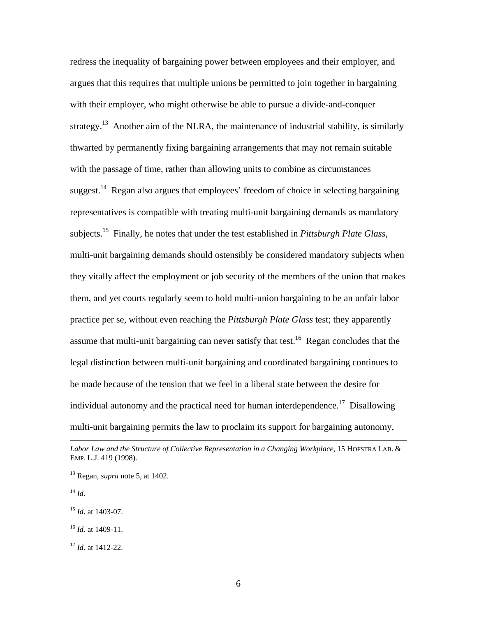redress the inequality of bargaining power between employees and their employer, and argues that this requires that multiple unions be permitted to join together in bargaining with their employer, who might otherwise be able to pursue a divide-and-conquer strategy.<sup>13</sup> Another aim of the NLRA, the maintenance of industrial stability, is similarly thwarted by permanently fixing bargaining arrangements that may not remain suitable with the passage of time, rather than allowing units to combine as circumstances suggest.<sup>14</sup> Regan also argues that employees' freedom of choice in selecting bargaining representatives is compatible with treating multi-unit bargaining demands as mandatory subjects.15 Finally, he notes that under the test established in *Pittsburgh Plate Glass*, multi-unit bargaining demands should ostensibly be considered mandatory subjects when they vitally affect the employment or job security of the members of the union that makes them, and yet courts regularly seem to hold multi-union bargaining to be an unfair labor practice per se, without even reaching the *Pittsburgh Plate Glass* test; they apparently assume that multi-unit bargaining can never satisfy that test.<sup>16</sup> Regan concludes that the legal distinction between multi-unit bargaining and coordinated bargaining continues to be made because of the tension that we feel in a liberal state between the desire for individual autonomy and the practical need for human interdependence.<sup>17</sup> Disallowing multi-unit bargaining permits the law to proclaim its support for bargaining autonomy,

*Labor Law and the Structure of Collective Representation in a Changing Workplace*, 15 HOFSTRA LAB. & EMP. L.J. 419 (1998).

<sup>13</sup> Regan, *supra* note 5, at 1402.

<sup>14</sup> *Id.*

<sup>15</sup> *Id.* at 1403-07.

<sup>16</sup> *Id.* at 1409-11.

<sup>17</sup> *Id.* at 1412-22.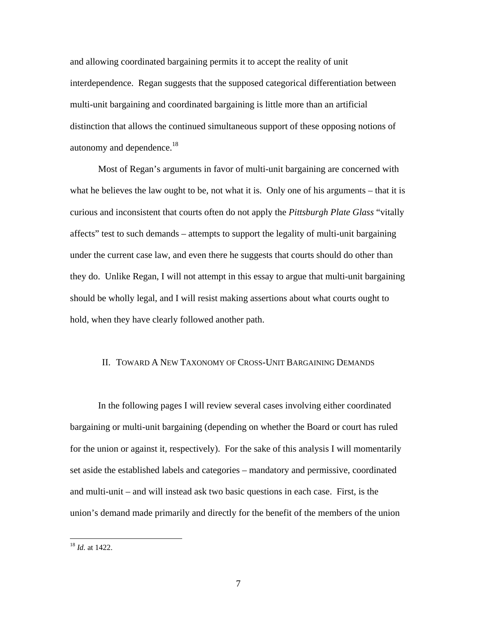and allowing coordinated bargaining permits it to accept the reality of unit interdependence. Regan suggests that the supposed categorical differentiation between multi-unit bargaining and coordinated bargaining is little more than an artificial distinction that allows the continued simultaneous support of these opposing notions of autonomy and dependence.<sup>18</sup>

Most of Regan's arguments in favor of multi-unit bargaining are concerned with what he believes the law ought to be, not what it is. Only one of his arguments – that it is curious and inconsistent that courts often do not apply the *Pittsburgh Plate Glass* "vitally affects" test to such demands – attempts to support the legality of multi-unit bargaining under the current case law, and even there he suggests that courts should do other than they do. Unlike Regan, I will not attempt in this essay to argue that multi-unit bargaining should be wholly legal, and I will resist making assertions about what courts ought to hold, when they have clearly followed another path.

#### II. TOWARD A NEW TAXONOMY OF CROSS-UNIT BARGAINING DEMANDS

In the following pages I will review several cases involving either coordinated bargaining or multi-unit bargaining (depending on whether the Board or court has ruled for the union or against it, respectively). For the sake of this analysis I will momentarily set aside the established labels and categories – mandatory and permissive, coordinated and multi-unit – and will instead ask two basic questions in each case. First, is the union's demand made primarily and directly for the benefit of the members of the union

<sup>18</sup> *Id.* at 1422.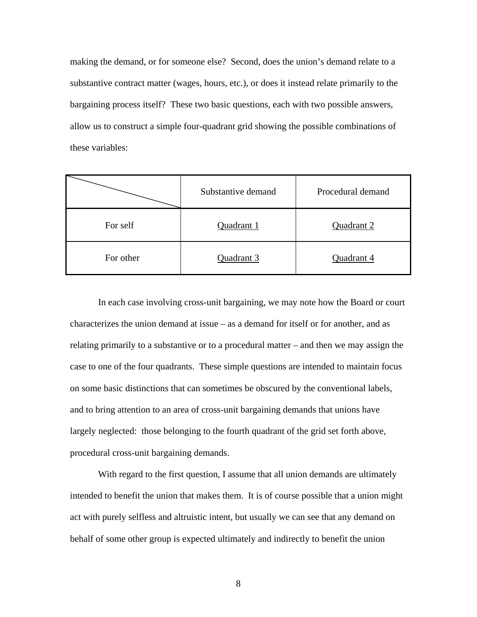making the demand, or for someone else? Second, does the union's demand relate to a substantive contract matter (wages, hours, etc.), or does it instead relate primarily to the bargaining process itself? These two basic questions, each with two possible answers, allow us to construct a simple four-quadrant grid showing the possible combinations of these variables:

|           | Substantive demand | Procedural demand |
|-----------|--------------------|-------------------|
| For self  | Quadrant 1         | Quadrant 2        |
| For other | Quadrant 3         | Quadrant 4        |

In each case involving cross-unit bargaining, we may note how the Board or court characterizes the union demand at issue  $-$  as a demand for itself or for another, and as relating primarily to a substantive or to a procedural matter – and then we may assign the case to one of the four quadrants. These simple questions are intended to maintain focus on some basic distinctions that can sometimes be obscured by the conventional labels, and to bring attention to an area of cross-unit bargaining demands that unions have largely neglected: those belonging to the fourth quadrant of the grid set forth above, procedural cross-unit bargaining demands.

With regard to the first question, I assume that all union demands are ultimately intended to benefit the union that makes them. It is of course possible that a union might act with purely selfless and altruistic intent, but usually we can see that any demand on behalf of some other group is expected ultimately and indirectly to benefit the union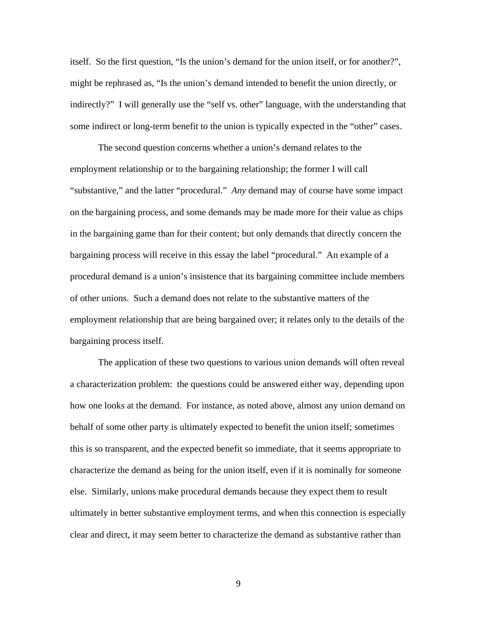itself. So the first question, "Is the union's demand for the union itself, or for another?", might be rephrased as, "Is the union's demand intended to benefit the union directly, or indirectly?" I will generally use the "self vs. other" language, with the understanding that some indirect or long-term benefit to the union is typically expected in the "other" cases.

The second question concerns whether a union's demand relates to the employment relationship or to the bargaining relationship; the former I will call "substantive," and the latter "procedural." *Any* demand may of course have some impact on the bargaining process, and some demands may be made more for their value as chips in the bargaining game than for their content; but only demands that directly concern the bargaining process will receive in this essay the label "procedural." An example of a procedural demand is a union's insistence that its bargaining committee include members of other unions. Such a demand does not relate to the substantive matters of the employment relationship that are being bargained over; it relates only to the details of the bargaining process itself.

The application of these two questions to various union demands will often reveal a characterization problem: the questions could be answered either way, depending upon how one looks at the demand. For instance, as noted above, almost any union demand on behalf of some other party is ultimately expected to benefit the union itself; sometimes this is so transparent, and the expected benefit so immediate, that it seems appropriate to characterize the demand as being for the union itself, even if it is nominally for someone else. Similarly, unions make procedural demands because they expect them to result ultimately in better substantive employment terms, and when this connection is especially clear and direct, it may seem better to characterize the demand as substantive rather than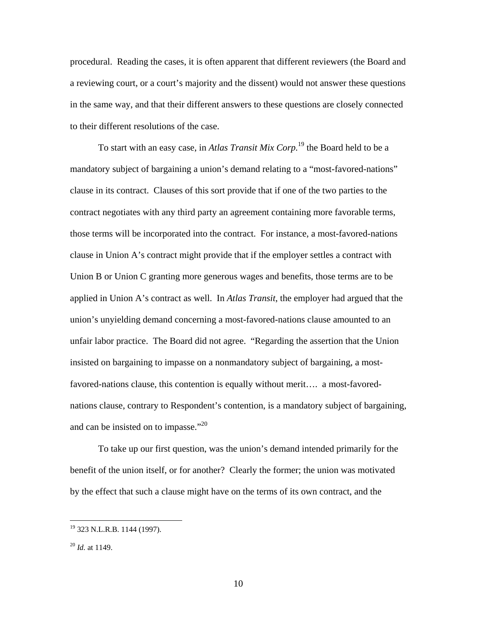procedural. Reading the cases, it is often apparent that different reviewers (the Board and a reviewing court, or a court's majority and the dissent) would not answer these questions in the same way, and that their different answers to these questions are closely connected to their different resolutions of the case.

To start with an easy case, in *Atlas Transit Mix Corp.*19 the Board held to be a mandatory subject of bargaining a union's demand relating to a "most-favored-nations" clause in its contract. Clauses of this sort provide that if one of the two parties to the contract negotiates with any third party an agreement containing more favorable terms, those terms will be incorporated into the contract. For instance, a most-favored-nations clause in Union A's contract might provide that if the employer settles a contract with Union B or Union C granting more generous wages and benefits, those terms are to be applied in Union A's contract as well. In *Atlas Transit*, the employer had argued that the union's unyielding demand concerning a most-favored-nations clause amounted to an unfair labor practice. The Board did not agree. "Regarding the assertion that the Union insisted on bargaining to impasse on a nonmandatory subject of bargaining, a mostfavored-nations clause, this contention is equally without merit…. a most-favorednations clause, contrary to Respondent's contention, is a mandatory subject of bargaining, and can be insisted on to impasse."<sup>20</sup>

To take up our first question, was the union's demand intended primarily for the benefit of the union itself, or for another? Clearly the former; the union was motivated by the effect that such a clause might have on the terms of its own contract, and the

<u>.</u>

<sup>&</sup>lt;sup>19</sup> 323 N.L.R.B. 1144 (1997).

<sup>20</sup> *Id.* at 1149.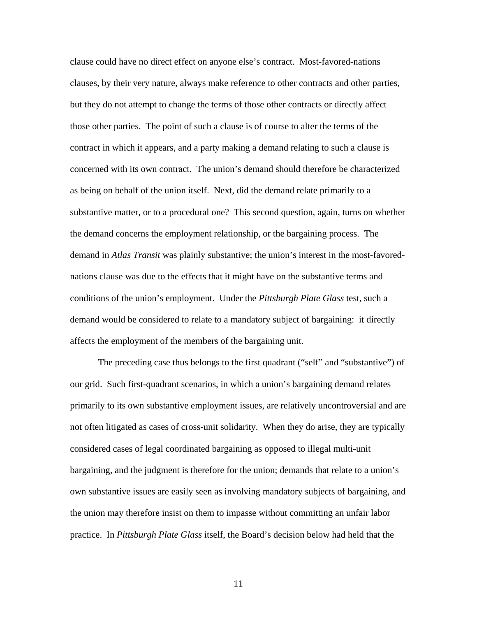clause could have no direct effect on anyone else's contract. Most-favored-nations clauses, by their very nature, always make reference to other contracts and other parties, but they do not attempt to change the terms of those other contracts or directly affect those other parties. The point of such a clause is of course to alter the terms of the contract in which it appears, and a party making a demand relating to such a clause is concerned with its own contract. The union's demand should therefore be characterized as being on behalf of the union itself. Next, did the demand relate primarily to a substantive matter, or to a procedural one? This second question, again, turns on whether the demand concerns the employment relationship, or the bargaining process. The demand in *Atlas Transit* was plainly substantive; the union's interest in the most-favorednations clause was due to the effects that it might have on the substantive terms and conditions of the union's employment. Under the *Pittsburgh Plate Glass* test, such a demand would be considered to relate to a mandatory subject of bargaining: it directly affects the employment of the members of the bargaining unit.

The preceding case thus belongs to the first quadrant ("self" and "substantive") of our grid. Such first-quadrant scenarios, in which a union's bargaining demand relates primarily to its own substantive employment issues, are relatively uncontroversial and are not often litigated as cases of cross-unit solidarity. When they do arise, they are typically considered cases of legal coordinated bargaining as opposed to illegal multi-unit bargaining, and the judgment is therefore for the union; demands that relate to a union's own substantive issues are easily seen as involving mandatory subjects of bargaining, and the union may therefore insist on them to impasse without committing an unfair labor practice. In *Pittsburgh Plate Glass* itself, the Board's decision below had held that the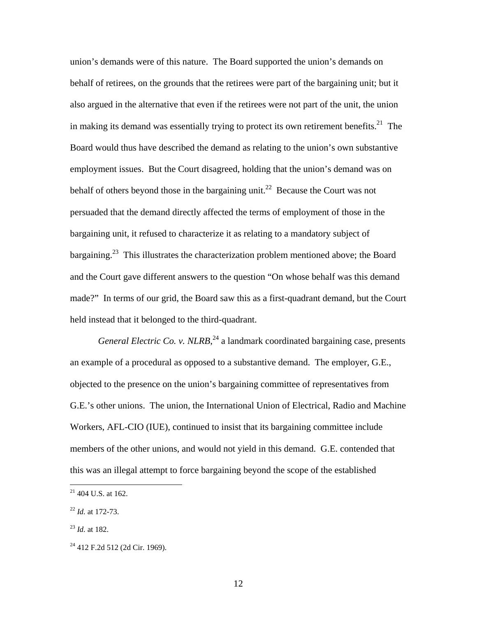union's demands were of this nature. The Board supported the union's demands on behalf of retirees, on the grounds that the retirees were part of the bargaining unit; but it also argued in the alternative that even if the retirees were not part of the unit, the union in making its demand was essentially trying to protect its own retirement benefits.<sup>21</sup> The Board would thus have described the demand as relating to the union's own substantive employment issues. But the Court disagreed, holding that the union's demand was on behalf of others beyond those in the bargaining unit.<sup>22</sup> Because the Court was not persuaded that the demand directly affected the terms of employment of those in the bargaining unit, it refused to characterize it as relating to a mandatory subject of bargaining.<sup>23</sup> This illustrates the characterization problem mentioned above; the Board and the Court gave different answers to the question "On whose behalf was this demand made?" In terms of our grid, the Board saw this as a first-quadrant demand, but the Court held instead that it belonged to the third-quadrant.

General Electric Co. v. NLRB,<sup>24</sup> a landmark coordinated bargaining case, presents an example of a procedural as opposed to a substantive demand. The employer, G.E., objected to the presence on the union's bargaining committee of representatives from G.E.'s other unions. The union, the International Union of Electrical, Radio and Machine Workers, AFL-CIO (IUE), continued to insist that its bargaining committee include members of the other unions, and would not yield in this demand. G.E. contended that this was an illegal attempt to force bargaining beyond the scope of the established

 $21$  404 U.S. at 162.

<sup>22</sup> *Id.* at 172-73.

<sup>23</sup> *Id.* at 182.

<sup>24 412</sup> F.2d 512 (2d Cir. 1969).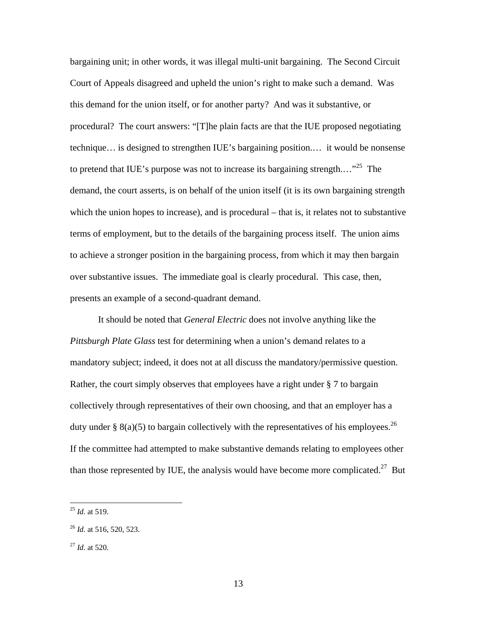bargaining unit; in other words, it was illegal multi-unit bargaining. The Second Circuit Court of Appeals disagreed and upheld the union's right to make such a demand. Was this demand for the union itself, or for another party? And was it substantive, or procedural? The court answers: "[T]he plain facts are that the IUE proposed negotiating technique… is designed to strengthen IUE's bargaining position.… it would be nonsense to pretend that IUE's purpose was not to increase its bargaining strength...."<sup>25</sup> The demand, the court asserts, is on behalf of the union itself (it is its own bargaining strength which the union hopes to increase), and is procedural – that is, it relates not to substantive terms of employment, but to the details of the bargaining process itself. The union aims to achieve a stronger position in the bargaining process, from which it may then bargain over substantive issues. The immediate goal is clearly procedural. This case, then, presents an example of a second-quadrant demand.

It should be noted that *General Electric* does not involve anything like the *Pittsburgh Plate Glass* test for determining when a union's demand relates to a mandatory subject; indeed, it does not at all discuss the mandatory/permissive question. Rather, the court simply observes that employees have a right under § 7 to bargain collectively through representatives of their own choosing, and that an employer has a duty under § 8(a)(5) to bargain collectively with the representatives of his employees.<sup>26</sup> If the committee had attempted to make substantive demands relating to employees other than those represented by IUE, the analysis would have become more complicated.<sup>27</sup> But

<sup>25</sup> *Id.* at 519.

<sup>26</sup> *Id.* at 516, 520, 523.

<sup>27</sup> *Id.* at 520.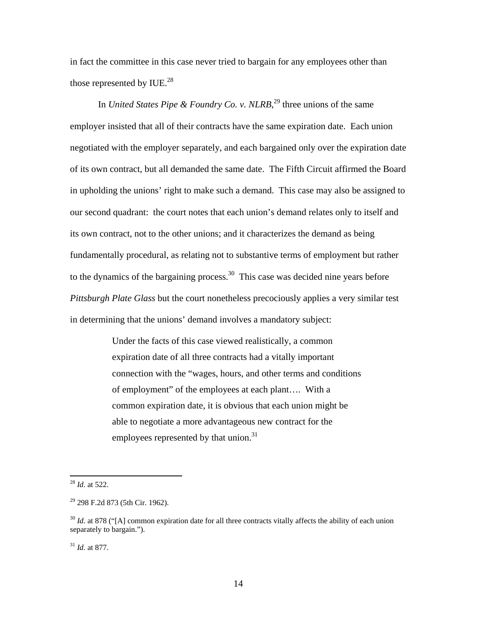in fact the committee in this case never tried to bargain for any employees other than those represented by IUE. $^{28}$ 

In *United States Pipe & Foundry Co. v. NLRB*<sup>29</sup>, three unions of the same employer insisted that all of their contracts have the same expiration date. Each union negotiated with the employer separately, and each bargained only over the expiration date of its own contract, but all demanded the same date. The Fifth Circuit affirmed the Board in upholding the unions' right to make such a demand. This case may also be assigned to our second quadrant: the court notes that each union's demand relates only to itself and its own contract, not to the other unions; and it characterizes the demand as being fundamentally procedural, as relating not to substantive terms of employment but rather to the dynamics of the bargaining process.30 This case was decided nine years before *Pittsburgh Plate Glass* but the court nonetheless precociously applies a very similar test in determining that the unions' demand involves a mandatory subject:

> Under the facts of this case viewed realistically, a common expiration date of all three contracts had a vitally important connection with the "wages, hours, and other terms and conditions of employment" of the employees at each plant…. With a common expiration date, it is obvious that each union might be able to negotiate a more advantageous new contract for the employees represented by that union.<sup>31</sup>

 $\overline{a}$ 

<sup>31</sup> *Id.* at 877.

<sup>28</sup> *Id.* at 522.

 $29$  298 F.2d 873 (5th Cir. 1962).

<sup>&</sup>lt;sup>30</sup> *Id.* at 878 ("[A] common expiration date for all three contracts vitally affects the ability of each union separately to bargain.").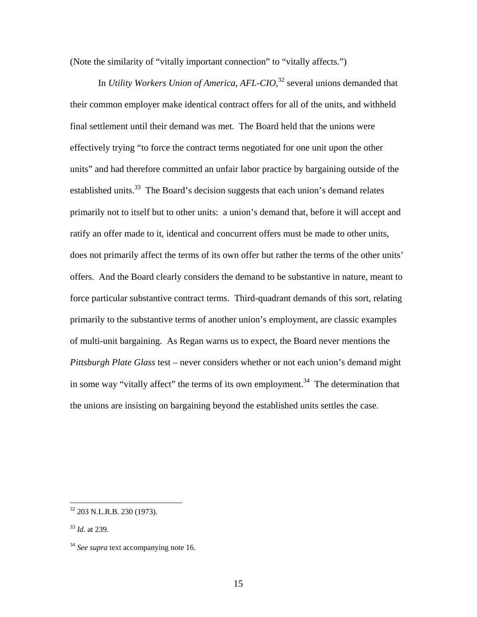(Note the similarity of "vitally important connection" to "vitally affects.")

 In *Utility Workers Union of America, AFL-CIO*, 32 several unions demanded that their common employer make identical contract offers for all of the units, and withheld final settlement until their demand was met. The Board held that the unions were effectively trying "to force the contract terms negotiated for one unit upon the other units" and had therefore committed an unfair labor practice by bargaining outside of the established units.<sup>33</sup> The Board's decision suggests that each union's demand relates primarily not to itself but to other units: a union's demand that, before it will accept and ratify an offer made to it, identical and concurrent offers must be made to other units, does not primarily affect the terms of its own offer but rather the terms of the other units' offers. And the Board clearly considers the demand to be substantive in nature, meant to force particular substantive contract terms. Third-quadrant demands of this sort, relating primarily to the substantive terms of another union's employment, are classic examples of multi-unit bargaining. As Regan warns us to expect, the Board never mentions the *Pittsburgh Plate Glass* test – never considers whether or not each union's demand might in some way "vitally affect" the terms of its own employment.<sup>34</sup> The determination that the unions are insisting on bargaining beyond the established units settles the case.

<sup>32 203</sup> N.L.R.B. 230 (1973).

<sup>33</sup> *Id.* at 239.

<sup>&</sup>lt;sup>34</sup> *See supra* text accompanying note 16.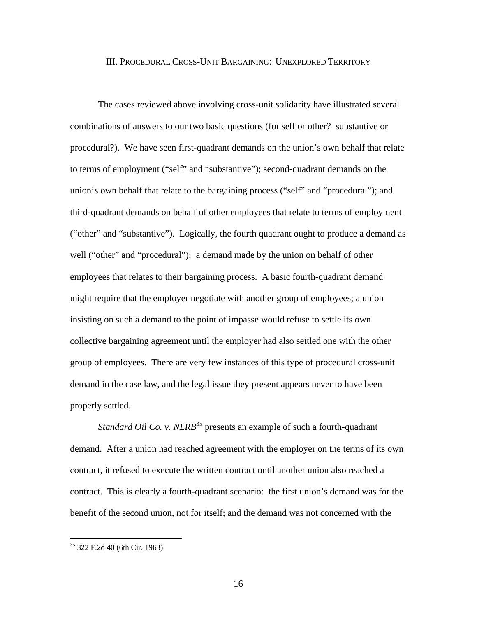#### III. PROCEDURAL CROSS-UNIT BARGAINING: UNEXPLORED TERRITORY

 The cases reviewed above involving cross-unit solidarity have illustrated several combinations of answers to our two basic questions (for self or other? substantive or procedural?). We have seen first-quadrant demands on the union's own behalf that relate to terms of employment ("self" and "substantive"); second-quadrant demands on the union's own behalf that relate to the bargaining process ("self" and "procedural"); and third-quadrant demands on behalf of other employees that relate to terms of employment ("other" and "substantive"). Logically, the fourth quadrant ought to produce a demand as well ("other" and "procedural"): a demand made by the union on behalf of other employees that relates to their bargaining process. A basic fourth-quadrant demand might require that the employer negotiate with another group of employees; a union insisting on such a demand to the point of impasse would refuse to settle its own collective bargaining agreement until the employer had also settled one with the other group of employees. There are very few instances of this type of procedural cross-unit demand in the case law, and the legal issue they present appears never to have been properly settled.

*Standard Oil Co. v. NLRB*<sup>35</sup> presents an example of such a fourth-quadrant demand. After a union had reached agreement with the employer on the terms of its own contract, it refused to execute the written contract until another union also reached a contract. This is clearly a fourth-quadrant scenario: the first union's demand was for the benefit of the second union, not for itself; and the demand was not concerned with the

<sup>35 322</sup> F.2d 40 (6th Cir. 1963).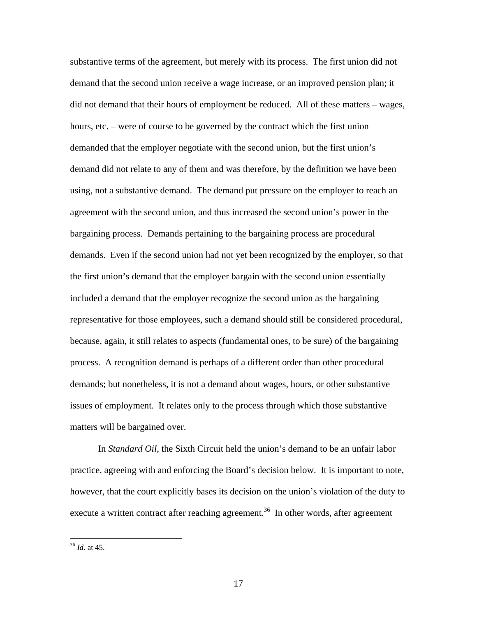substantive terms of the agreement, but merely with its process. The first union did not demand that the second union receive a wage increase, or an improved pension plan; it did not demand that their hours of employment be reduced. All of these matters – wages, hours, etc. – were of course to be governed by the contract which the first union demanded that the employer negotiate with the second union, but the first union's demand did not relate to any of them and was therefore, by the definition we have been using, not a substantive demand. The demand put pressure on the employer to reach an agreement with the second union, and thus increased the second union's power in the bargaining process. Demands pertaining to the bargaining process are procedural demands. Even if the second union had not yet been recognized by the employer, so that the first union's demand that the employer bargain with the second union essentially included a demand that the employer recognize the second union as the bargaining representative for those employees, such a demand should still be considered procedural, because, again, it still relates to aspects (fundamental ones, to be sure) of the bargaining process. A recognition demand is perhaps of a different order than other procedural demands; but nonetheless, it is not a demand about wages, hours, or other substantive issues of employment. It relates only to the process through which those substantive matters will be bargained over.

In *Standard Oil*, the Sixth Circuit held the union's demand to be an unfair labor practice, agreeing with and enforcing the Board's decision below. It is important to note, however, that the court explicitly bases its decision on the union's violation of the duty to execute a written contract after reaching agreement.<sup>36</sup> In other words, after agreement

<sup>36</sup> *Id.* at 45.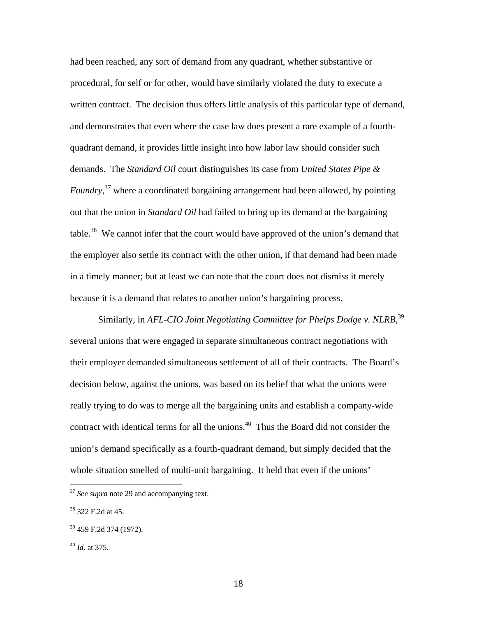had been reached, any sort of demand from any quadrant, whether substantive or procedural, for self or for other, would have similarly violated the duty to execute a written contract. The decision thus offers little analysis of this particular type of demand, and demonstrates that even where the case law does present a rare example of a fourthquadrant demand, it provides little insight into how labor law should consider such demands. The *Standard Oil* court distinguishes its case from *United States Pipe & Foundry*, 37 where a coordinated bargaining arrangement had been allowed, by pointing out that the union in *Standard Oil* had failed to bring up its demand at the bargaining table.<sup>38</sup> We cannot infer that the court would have approved of the union's demand that the employer also settle its contract with the other union, if that demand had been made in a timely manner; but at least we can note that the court does not dismiss it merely because it is a demand that relates to another union's bargaining process.

Similarly, in *AFL-CIO Joint Negotiating Committee for Phelps Dodge v. NLRB*,<sup>39</sup> several unions that were engaged in separate simultaneous contract negotiations with their employer demanded simultaneous settlement of all of their contracts. The Board's decision below, against the unions, was based on its belief that what the unions were really trying to do was to merge all the bargaining units and establish a company-wide contract with identical terms for all the unions.<sup>40</sup> Thus the Board did not consider the union's demand specifically as a fourth-quadrant demand, but simply decided that the whole situation smelled of multi-unit bargaining. It held that even if the unions'

<sup>&</sup>lt;sup>37</sup> *See supra* note 29 and accompanying text.

<sup>38 322</sup> F.2d at 45.

<sup>39 459</sup> F.2d 374 (1972).

<sup>40</sup> *Id.* at 375.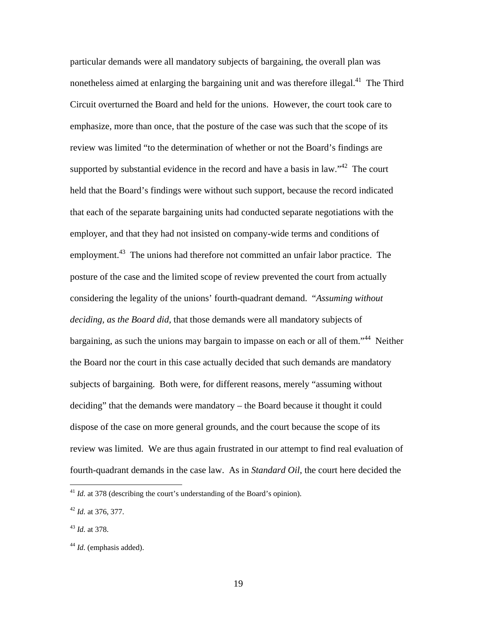particular demands were all mandatory subjects of bargaining, the overall plan was nonetheless aimed at enlarging the bargaining unit and was therefore illegal.<sup>41</sup> The Third Circuit overturned the Board and held for the unions. However, the court took care to emphasize, more than once, that the posture of the case was such that the scope of its review was limited "to the determination of whether or not the Board's findings are supported by substantial evidence in the record and have a basis in law."<sup>42</sup> The court held that the Board's findings were without such support, because the record indicated that each of the separate bargaining units had conducted separate negotiations with the employer, and that they had not insisted on company-wide terms and conditions of employment.<sup>43</sup> The unions had therefore not committed an unfair labor practice. The posture of the case and the limited scope of review prevented the court from actually considering the legality of the unions' fourth-quadrant demand. "*Assuming without deciding, as the Board did,* that those demands were all mandatory subjects of bargaining, as such the unions may bargain to impasse on each or all of them."<sup>44</sup> Neither the Board nor the court in this case actually decided that such demands are mandatory subjects of bargaining. Both were, for different reasons, merely "assuming without deciding" that the demands were mandatory – the Board because it thought it could dispose of the case on more general grounds, and the court because the scope of its review was limited. We are thus again frustrated in our attempt to find real evaluation of fourth-quadrant demands in the case law. As in *Standard Oil*, the court here decided the

 $^{41}$  *Id.* at 378 (describing the court's understanding of the Board's opinion).

<sup>42</sup> *Id.* at 376, 377.

<sup>43</sup> *Id.* at 378.

<sup>&</sup>lt;sup>44</sup> *Id.* (emphasis added).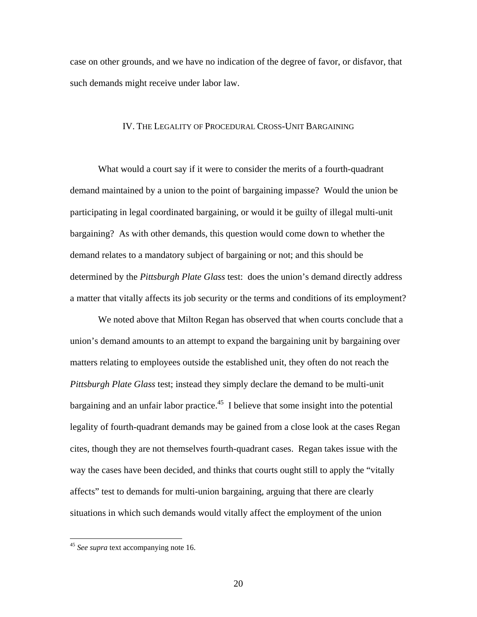case on other grounds, and we have no indication of the degree of favor, or disfavor, that such demands might receive under labor law.

#### IV. THE LEGALITY OF PROCEDURAL CROSS-UNIT BARGAINING

 What would a court say if it were to consider the merits of a fourth-quadrant demand maintained by a union to the point of bargaining impasse? Would the union be participating in legal coordinated bargaining, or would it be guilty of illegal multi-unit bargaining? As with other demands, this question would come down to whether the demand relates to a mandatory subject of bargaining or not; and this should be determined by the *Pittsburgh Plate Glass* test: does the union's demand directly address a matter that vitally affects its job security or the terms and conditions of its employment?

 We noted above that Milton Regan has observed that when courts conclude that a union's demand amounts to an attempt to expand the bargaining unit by bargaining over matters relating to employees outside the established unit, they often do not reach the *Pittsburgh Plate Glass* test; instead they simply declare the demand to be multi-unit bargaining and an unfair labor practice.<sup>45</sup> I believe that some insight into the potential legality of fourth-quadrant demands may be gained from a close look at the cases Regan cites, though they are not themselves fourth-quadrant cases. Regan takes issue with the way the cases have been decided, and thinks that courts ought still to apply the "vitally affects" test to demands for multi-union bargaining, arguing that there are clearly situations in which such demands would vitally affect the employment of the union

<sup>&</sup>lt;sup>45</sup> See supra text accompanying note 16.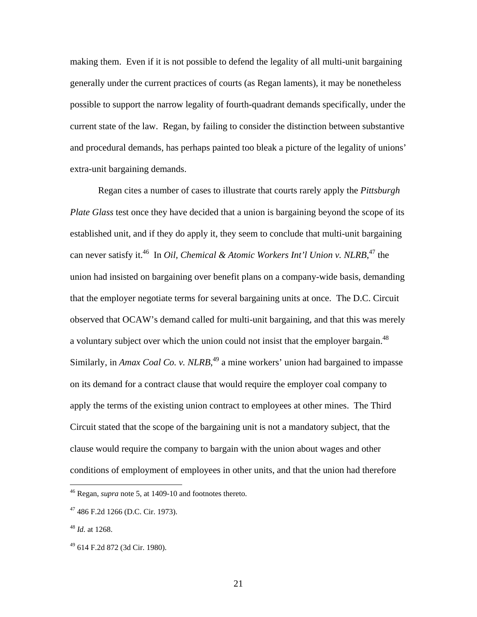making them. Even if it is not possible to defend the legality of all multi-unit bargaining generally under the current practices of courts (as Regan laments), it may be nonetheless possible to support the narrow legality of fourth-quadrant demands specifically, under the current state of the law. Regan, by failing to consider the distinction between substantive and procedural demands, has perhaps painted too bleak a picture of the legality of unions' extra-unit bargaining demands.

 Regan cites a number of cases to illustrate that courts rarely apply the *Pittsburgh Plate Glass* test once they have decided that a union is bargaining beyond the scope of its established unit, and if they do apply it, they seem to conclude that multi-unit bargaining can never satisfy it.<sup>46</sup> In *Oil, Chemical & Atomic Workers Int'l Union v. NLRB*,<sup>47</sup> the union had insisted on bargaining over benefit plans on a company-wide basis, demanding that the employer negotiate terms for several bargaining units at once. The D.C. Circuit observed that OCAW's demand called for multi-unit bargaining, and that this was merely a voluntary subject over which the union could not insist that the employer bargain.<sup>48</sup> Similarly, in *Amax Coal Co. v. NLRB*<sup>49</sup>, a mine workers' union had bargained to impasse on its demand for a contract clause that would require the employer coal company to apply the terms of the existing union contract to employees at other mines. The Third Circuit stated that the scope of the bargaining unit is not a mandatory subject, that the clause would require the company to bargain with the union about wages and other conditions of employment of employees in other units, and that the union had therefore

 $\overline{a}$ 

<sup>46</sup> Regan, *supra* note 5, at 1409-10 and footnotes thereto.

 $47$  486 F.2d 1266 (D.C. Cir. 1973).

<sup>48</sup> *Id.* at 1268.

<sup>49 614</sup> F.2d 872 (3d Cir. 1980).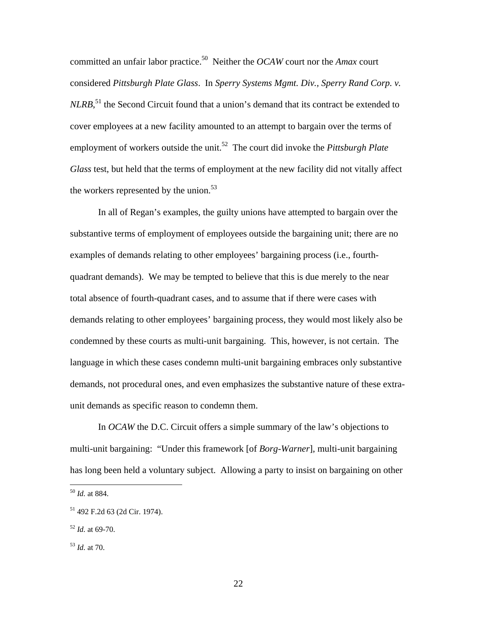committed an unfair labor practice.50 Neither the *OCAW* court nor the *Amax* court considered *Pittsburgh Plate Glass*. In *Sperry Systems Mgmt. Div., Sperry Rand Corp. v. NLRB*,<sup>51</sup>, the Second Circuit found that a union's demand that its contract be extended to cover employees at a new facility amounted to an attempt to bargain over the terms of employment of workers outside the unit.<sup>52</sup> The court did invoke the *Pittsburgh Plate Glass* test, but held that the terms of employment at the new facility did not vitally affect the workers represented by the union.<sup>53</sup>

In all of Regan's examples, the guilty unions have attempted to bargain over the substantive terms of employment of employees outside the bargaining unit; there are no examples of demands relating to other employees' bargaining process (i.e., fourthquadrant demands). We may be tempted to believe that this is due merely to the near total absence of fourth-quadrant cases, and to assume that if there were cases with demands relating to other employees' bargaining process, they would most likely also be condemned by these courts as multi-unit bargaining. This, however, is not certain. The language in which these cases condemn multi-unit bargaining embraces only substantive demands, not procedural ones, and even emphasizes the substantive nature of these extraunit demands as specific reason to condemn them.

In *OCAW* the D.C. Circuit offers a simple summary of the law's objections to multi-unit bargaining: "Under this framework [of *Borg-Warner*], multi-unit bargaining has long been held a voluntary subject. Allowing a party to insist on bargaining on other

<sup>50</sup> *Id.* at 884.

<sup>51 492</sup> F.2d 63 (2d Cir. 1974).

<sup>52</sup> *Id.* at 69-70.

<sup>53</sup> *Id.* at 70.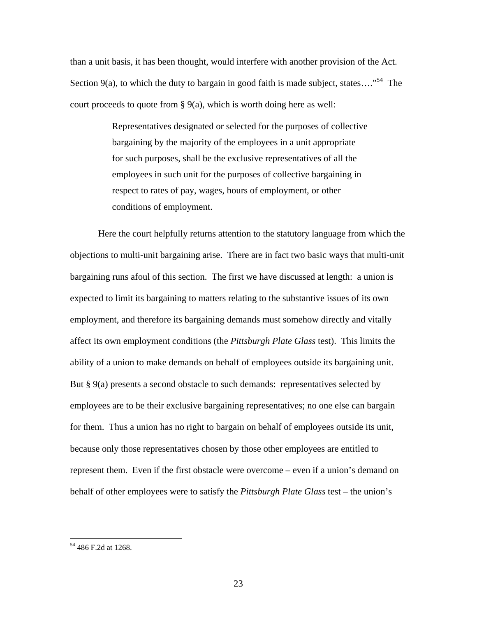than a unit basis, it has been thought, would interfere with another provision of the Act. Section 9(a), to which the duty to bargain in good faith is made subject, states...."<sup>54</sup> The court proceeds to quote from § 9(a), which is worth doing here as well:

> Representatives designated or selected for the purposes of collective bargaining by the majority of the employees in a unit appropriate for such purposes, shall be the exclusive representatives of all the employees in such unit for the purposes of collective bargaining in respect to rates of pay, wages, hours of employment, or other conditions of employment.

Here the court helpfully returns attention to the statutory language from which the objections to multi-unit bargaining arise. There are in fact two basic ways that multi-unit bargaining runs afoul of this section. The first we have discussed at length: a union is expected to limit its bargaining to matters relating to the substantive issues of its own employment, and therefore its bargaining demands must somehow directly and vitally affect its own employment conditions (the *Pittsburgh Plate Glass* test). This limits the ability of a union to make demands on behalf of employees outside its bargaining unit. But § 9(a) presents a second obstacle to such demands: representatives selected by employees are to be their exclusive bargaining representatives; no one else can bargain for them. Thus a union has no right to bargain on behalf of employees outside its unit, because only those representatives chosen by those other employees are entitled to represent them. Even if the first obstacle were overcome – even if a union's demand on behalf of other employees were to satisfy the *Pittsburgh Plate Glass* test – the union's

<sup>54 486</sup> F.2d at 1268.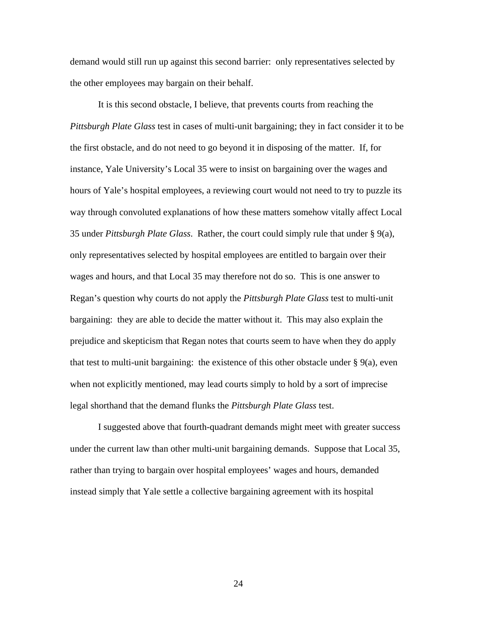demand would still run up against this second barrier: only representatives selected by the other employees may bargain on their behalf.

It is this second obstacle, I believe, that prevents courts from reaching the *Pittsburgh Plate Glass* test in cases of multi-unit bargaining; they in fact consider it to be the first obstacle, and do not need to go beyond it in disposing of the matter. If, for instance, Yale University's Local 35 were to insist on bargaining over the wages and hours of Yale's hospital employees, a reviewing court would not need to try to puzzle its way through convoluted explanations of how these matters somehow vitally affect Local 35 under *Pittsburgh Plate Glass*. Rather, the court could simply rule that under § 9(a), only representatives selected by hospital employees are entitled to bargain over their wages and hours, and that Local 35 may therefore not do so. This is one answer to Regan's question why courts do not apply the *Pittsburgh Plate Glass* test to multi-unit bargaining: they are able to decide the matter without it. This may also explain the prejudice and skepticism that Regan notes that courts seem to have when they do apply that test to multi-unit bargaining: the existence of this other obstacle under  $\S$  9(a), even when not explicitly mentioned, may lead courts simply to hold by a sort of imprecise legal shorthand that the demand flunks the *Pittsburgh Plate Glass* test.

I suggested above that fourth-quadrant demands might meet with greater success under the current law than other multi-unit bargaining demands. Suppose that Local 35, rather than trying to bargain over hospital employees' wages and hours, demanded instead simply that Yale settle a collective bargaining agreement with its hospital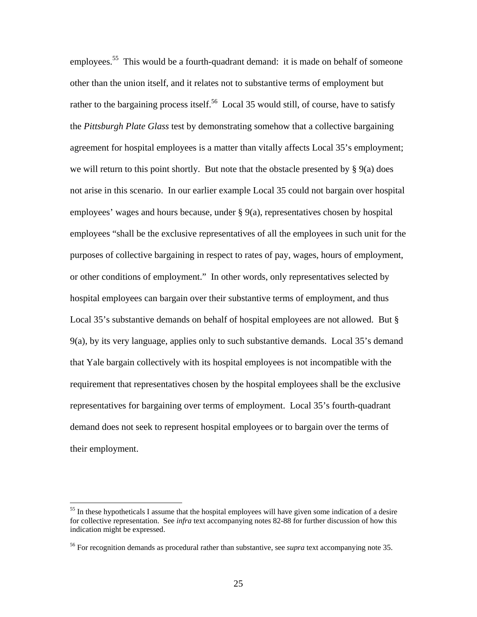employees.<sup>55</sup> This would be a fourth-quadrant demand: it is made on behalf of someone other than the union itself, and it relates not to substantive terms of employment but rather to the bargaining process itself.<sup>56</sup> Local 35 would still, of course, have to satisfy the *Pittsburgh Plate Glass* test by demonstrating somehow that a collective bargaining agreement for hospital employees is a matter than vitally affects Local 35's employment; we will return to this point shortly. But note that the obstacle presented by  $\S 9(a)$  does not arise in this scenario. In our earlier example Local 35 could not bargain over hospital employees' wages and hours because, under § 9(a), representatives chosen by hospital employees "shall be the exclusive representatives of all the employees in such unit for the purposes of collective bargaining in respect to rates of pay, wages, hours of employment, or other conditions of employment." In other words, only representatives selected by hospital employees can bargain over their substantive terms of employment, and thus Local 35's substantive demands on behalf of hospital employees are not allowed. But § 9(a), by its very language, applies only to such substantive demands. Local 35's demand that Yale bargain collectively with its hospital employees is not incompatible with the requirement that representatives chosen by the hospital employees shall be the exclusive representatives for bargaining over terms of employment. Local 35's fourth-quadrant demand does not seek to represent hospital employees or to bargain over the terms of their employment.

<sup>&</sup>lt;sup>55</sup> In these hypotheticals I assume that the hospital employees will have given some indication of a desire for collective representation. See *infra* text accompanying notes 82-88 for further discussion of how this indication might be expressed.

<sup>56</sup> For recognition demands as procedural rather than substantive, see *supra* text accompanying note 35.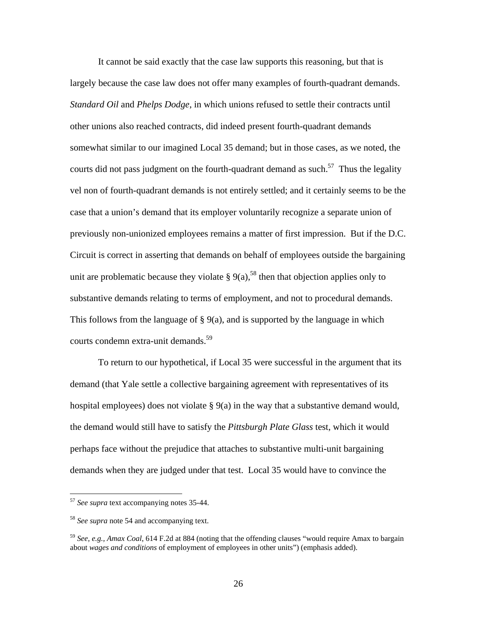It cannot be said exactly that the case law supports this reasoning, but that is largely because the case law does not offer many examples of fourth-quadrant demands. *Standard Oil* and *Phelps Dodge*, in which unions refused to settle their contracts until other unions also reached contracts, did indeed present fourth-quadrant demands somewhat similar to our imagined Local 35 demand; but in those cases, as we noted, the courts did not pass judgment on the fourth-quadrant demand as such.<sup>57</sup> Thus the legality vel non of fourth-quadrant demands is not entirely settled; and it certainly seems to be the case that a union's demand that its employer voluntarily recognize a separate union of previously non-unionized employees remains a matter of first impression. But if the D.C. Circuit is correct in asserting that demands on behalf of employees outside the bargaining unit are problematic because they violate  $\S 9(a)$ ,<sup>58</sup> then that objection applies only to substantive demands relating to terms of employment, and not to procedural demands. This follows from the language of  $\S$  9(a), and is supported by the language in which courts condemn extra-unit demands.<sup>59</sup>

 To return to our hypothetical, if Local 35 were successful in the argument that its demand (that Yale settle a collective bargaining agreement with representatives of its hospital employees) does not violate  $\S 9(a)$  in the way that a substantive demand would, the demand would still have to satisfy the *Pittsburgh Plate Glass* test, which it would perhaps face without the prejudice that attaches to substantive multi-unit bargaining demands when they are judged under that test. Local 35 would have to convince the

<sup>57</sup> *See supra* text accompanying notes 35-44.

<sup>58</sup> *See supra* note 54 and accompanying text.

<sup>59</sup> *See, e.g., Amax Coal*, 614 F.2d at 884 (noting that the offending clauses "would require Amax to bargain about *wages and conditions* of employment of employees in other units") (emphasis added).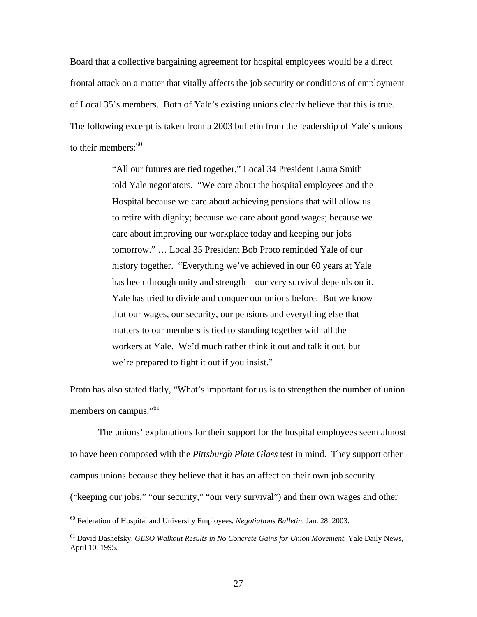Board that a collective bargaining agreement for hospital employees would be a direct frontal attack on a matter that vitally affects the job security or conditions of employment of Local 35's members. Both of Yale's existing unions clearly believe that this is true. The following excerpt is taken from a 2003 bulletin from the leadership of Yale's unions to their members:  $60$ 

> "All our futures are tied together," Local 34 President Laura Smith told Yale negotiators. "We care about the hospital employees and the Hospital because we care about achieving pensions that will allow us to retire with dignity; because we care about good wages; because we care about improving our workplace today and keeping our jobs tomorrow." … Local 35 President Bob Proto reminded Yale of our history together. "Everything we've achieved in our 60 years at Yale has been through unity and strength – our very survival depends on it. Yale has tried to divide and conquer our unions before. But we know that our wages, our security, our pensions and everything else that matters to our members is tied to standing together with all the workers at Yale. We'd much rather think it out and talk it out, but we're prepared to fight it out if you insist."

Proto has also stated flatly, "What's important for us is to strengthen the number of union members on campus."<sup>61</sup>

 The unions' explanations for their support for the hospital employees seem almost to have been composed with the *Pittsburgh Plate Glass* test in mind. They support other campus unions because they believe that it has an affect on their own job security ("keeping our jobs," "our security," "our very survival") and their own wages and other

<sup>60</sup> Federation of Hospital and University Employees, *Negotiations Bulletin*, Jan. 28, 2003.

<sup>61</sup> David Dashefsky, *GESO Walkout Results in No Concrete Gains for Union Movement*, Yale Daily News, April 10, 1995.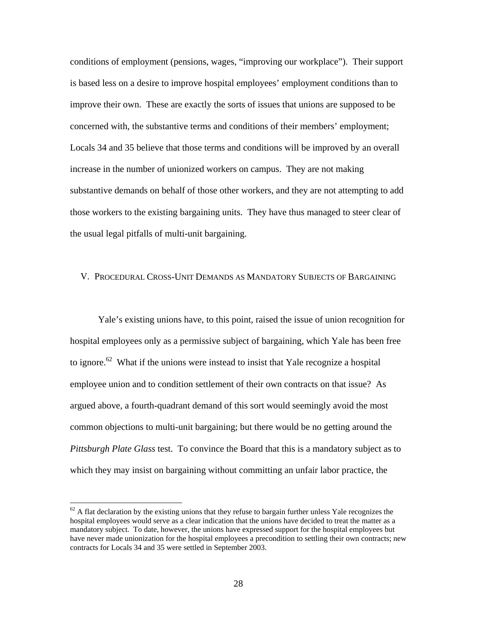conditions of employment (pensions, wages, "improving our workplace"). Their support is based less on a desire to improve hospital employees' employment conditions than to improve their own. These are exactly the sorts of issues that unions are supposed to be concerned with, the substantive terms and conditions of their members' employment; Locals 34 and 35 believe that those terms and conditions will be improved by an overall increase in the number of unionized workers on campus. They are not making substantive demands on behalf of those other workers, and they are not attempting to add those workers to the existing bargaining units. They have thus managed to steer clear of the usual legal pitfalls of multi-unit bargaining.

#### V. PROCEDURAL CROSS-UNIT DEMANDS AS MANDATORY SUBJECTS OF BARGAINING

Yale's existing unions have, to this point, raised the issue of union recognition for hospital employees only as a permissive subject of bargaining, which Yale has been free to ignore.<sup>62</sup> What if the unions were instead to insist that Yale recognize a hospital employee union and to condition settlement of their own contracts on that issue? As argued above, a fourth-quadrant demand of this sort would seemingly avoid the most common objections to multi-unit bargaining; but there would be no getting around the *Pittsburgh Plate Glass* test. To convince the Board that this is a mandatory subject as to which they may insist on bargaining without committing an unfair labor practice, the

 $62$  A flat declaration by the existing unions that they refuse to bargain further unless Yale recognizes the hospital employees would serve as a clear indication that the unions have decided to treat the matter as a mandatory subject. To date, however, the unions have expressed support for the hospital employees but have never made unionization for the hospital employees a precondition to settling their own contracts; new contracts for Locals 34 and 35 were settled in September 2003.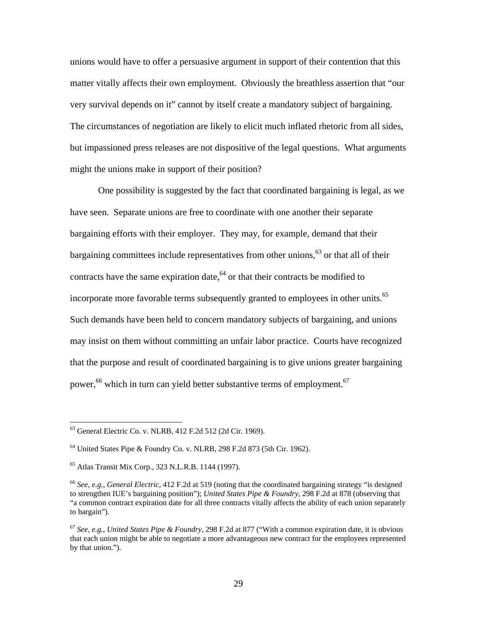unions would have to offer a persuasive argument in support of their contention that this matter vitally affects their own employment. Obviously the breathless assertion that "our very survival depends on it" cannot by itself create a mandatory subject of bargaining. The circumstances of negotiation are likely to elicit much inflated rhetoric from all sides, but impassioned press releases are not dispositive of the legal questions. What arguments might the unions make in support of their position?

One possibility is suggested by the fact that coordinated bargaining is legal, as we have seen. Separate unions are free to coordinate with one another their separate bargaining efforts with their employer. They may, for example, demand that their bargaining committees include representatives from other unions, $63$  or that all of their contracts have the same expiration date, $64$  or that their contracts be modified to incorporate more favorable terms subsequently granted to employees in other units.<sup>65</sup> Such demands have been held to concern mandatory subjects of bargaining, and unions may insist on them without committing an unfair labor practice. Courts have recognized that the purpose and result of coordinated bargaining is to give unions greater bargaining power,<sup>66</sup> which in turn can yield better substantive terms of employment.<sup>67</sup>

 $63$  General Electric Co. v. NLRB, 412 F.2d 512 (2d Cir. 1969).

<sup>64</sup> United States Pipe & Foundry Co. v. NLRB, 298 F.2d 873 (5th Cir. 1962).

<sup>65</sup> Atlas Transit Mix Corp., 323 N.L.R.B. 1144 (1997).

<sup>66</sup> *See, e.g.*, *General Electric*, 412 F.2d at 519 (noting that the coordinated bargaining strategy "is designed to strengthen IUE's bargaining position"); *United States Pipe & Foundry*, 298 F.2d at 878 (observing that "a common contract expiration date for all three contracts vitally affects the ability of each union separately to bargain").

<sup>67</sup> *See, e.g.*, *United States Pipe & Foundry*, 298 F.2d at 877 ("With a common expiration date, it is obvious that each union might be able to negotiate a more advantageous new contract for the employees represented by that union.").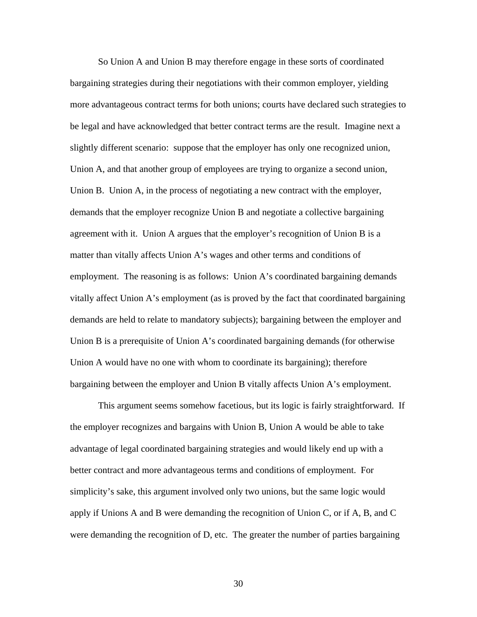So Union A and Union B may therefore engage in these sorts of coordinated bargaining strategies during their negotiations with their common employer, yielding more advantageous contract terms for both unions; courts have declared such strategies to be legal and have acknowledged that better contract terms are the result. Imagine next a slightly different scenario: suppose that the employer has only one recognized union, Union A, and that another group of employees are trying to organize a second union, Union B. Union A, in the process of negotiating a new contract with the employer, demands that the employer recognize Union B and negotiate a collective bargaining agreement with it. Union A argues that the employer's recognition of Union B is a matter than vitally affects Union A's wages and other terms and conditions of employment. The reasoning is as follows: Union A's coordinated bargaining demands vitally affect Union A's employment (as is proved by the fact that coordinated bargaining demands are held to relate to mandatory subjects); bargaining between the employer and Union B is a prerequisite of Union A's coordinated bargaining demands (for otherwise Union A would have no one with whom to coordinate its bargaining); therefore bargaining between the employer and Union B vitally affects Union A's employment.

This argument seems somehow facetious, but its logic is fairly straightforward. If the employer recognizes and bargains with Union B, Union A would be able to take advantage of legal coordinated bargaining strategies and would likely end up with a better contract and more advantageous terms and conditions of employment. For simplicity's sake, this argument involved only two unions, but the same logic would apply if Unions A and B were demanding the recognition of Union C, or if A, B, and C were demanding the recognition of D, etc. The greater the number of parties bargaining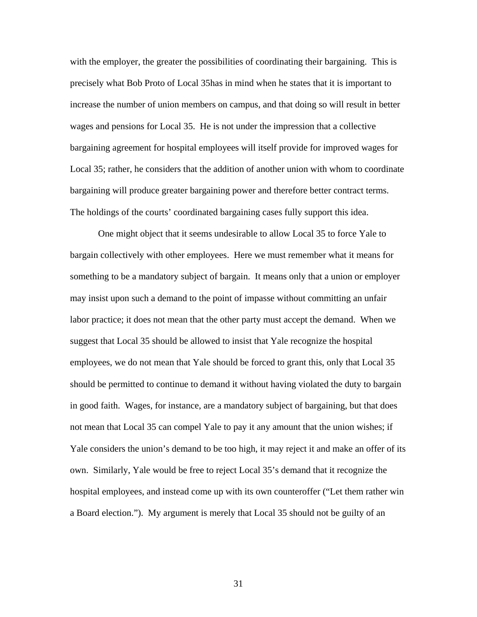with the employer, the greater the possibilities of coordinating their bargaining. This is precisely what Bob Proto of Local 35has in mind when he states that it is important to increase the number of union members on campus, and that doing so will result in better wages and pensions for Local 35. He is not under the impression that a collective bargaining agreement for hospital employees will itself provide for improved wages for Local 35; rather, he considers that the addition of another union with whom to coordinate bargaining will produce greater bargaining power and therefore better contract terms. The holdings of the courts' coordinated bargaining cases fully support this idea.

One might object that it seems undesirable to allow Local 35 to force Yale to bargain collectively with other employees. Here we must remember what it means for something to be a mandatory subject of bargain. It means only that a union or employer may insist upon such a demand to the point of impasse without committing an unfair labor practice; it does not mean that the other party must accept the demand. When we suggest that Local 35 should be allowed to insist that Yale recognize the hospital employees, we do not mean that Yale should be forced to grant this, only that Local 35 should be permitted to continue to demand it without having violated the duty to bargain in good faith. Wages, for instance, are a mandatory subject of bargaining, but that does not mean that Local 35 can compel Yale to pay it any amount that the union wishes; if Yale considers the union's demand to be too high, it may reject it and make an offer of its own. Similarly, Yale would be free to reject Local 35's demand that it recognize the hospital employees, and instead come up with its own counteroffer ("Let them rather win a Board election."). My argument is merely that Local 35 should not be guilty of an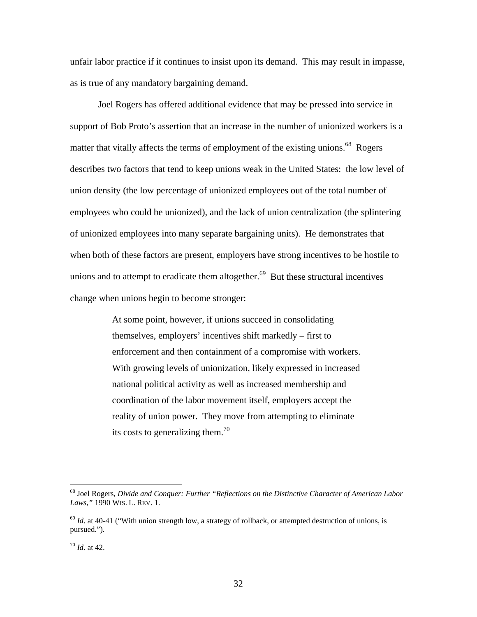unfair labor practice if it continues to insist upon its demand. This may result in impasse, as is true of any mandatory bargaining demand.

 Joel Rogers has offered additional evidence that may be pressed into service in support of Bob Proto's assertion that an increase in the number of unionized workers is a matter that vitally affects the terms of employment of the existing unions.<sup>68</sup> Rogers describes two factors that tend to keep unions weak in the United States: the low level of union density (the low percentage of unionized employees out of the total number of employees who could be unionized), and the lack of union centralization (the splintering of unionized employees into many separate bargaining units). He demonstrates that when both of these factors are present, employers have strong incentives to be hostile to unions and to attempt to eradicate them altogether. $69$  But these structural incentives change when unions begin to become stronger:

> At some point, however, if unions succeed in consolidating themselves, employers' incentives shift markedly – first to enforcement and then containment of a compromise with workers. With growing levels of unionization, likely expressed in increased national political activity as well as increased membership and coordination of the labor movement itself, employers accept the reality of union power. They move from attempting to eliminate its costs to generalizing them.<sup>70</sup>

<sup>68</sup> Joel Rogers, *Divide and Conquer: Further "Reflections on the Distinctive Character of American Labor Laws,"* 1990 WIS. L. REV. 1.

<sup>&</sup>lt;sup>69</sup> *Id.* at 40-41 ("With union strength low, a strategy of rollback, or attempted destruction of unions, is pursued.").

<sup>70</sup> *Id.* at 42.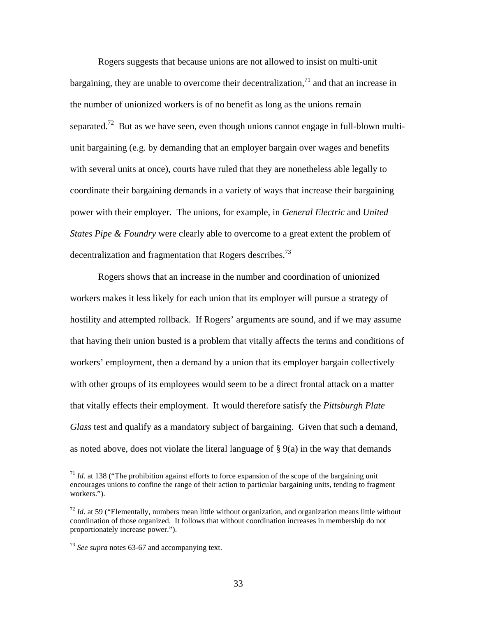Rogers suggests that because unions are not allowed to insist on multi-unit bargaining, they are unable to overcome their decentralization,<sup>71</sup> and that an increase in the number of unionized workers is of no benefit as long as the unions remain separated.<sup>72</sup> But as we have seen, even though unions cannot engage in full-blown multiunit bargaining (e.g. by demanding that an employer bargain over wages and benefits with several units at once), courts have ruled that they are nonetheless able legally to coordinate their bargaining demands in a variety of ways that increase their bargaining power with their employer. The unions, for example, in *General Electric* and *United States Pipe & Foundry* were clearly able to overcome to a great extent the problem of decentralization and fragmentation that Rogers describes.<sup>73</sup>

Rogers shows that an increase in the number and coordination of unionized workers makes it less likely for each union that its employer will pursue a strategy of hostility and attempted rollback. If Rogers' arguments are sound, and if we may assume that having their union busted is a problem that vitally affects the terms and conditions of workers' employment, then a demand by a union that its employer bargain collectively with other groups of its employees would seem to be a direct frontal attack on a matter that vitally effects their employment. It would therefore satisfy the *Pittsburgh Plate Glass* test and qualify as a mandatory subject of bargaining. Given that such a demand, as noted above, does not violate the literal language of  $\S$  9(a) in the way that demands

 $11$  *Id.* at 138 ("The prohibition against efforts to force expansion of the scope of the bargaining unit encourages unions to confine the range of their action to particular bargaining units, tending to fragment workers.").

<sup>&</sup>lt;sup>72</sup> *Id.* at 59 ("Elementally, numbers mean little without organization, and organization means little without coordination of those organized. It follows that without coordination increases in membership do not proportionately increase power.").

<sup>73</sup> *See supra* notes 63-67 and accompanying text.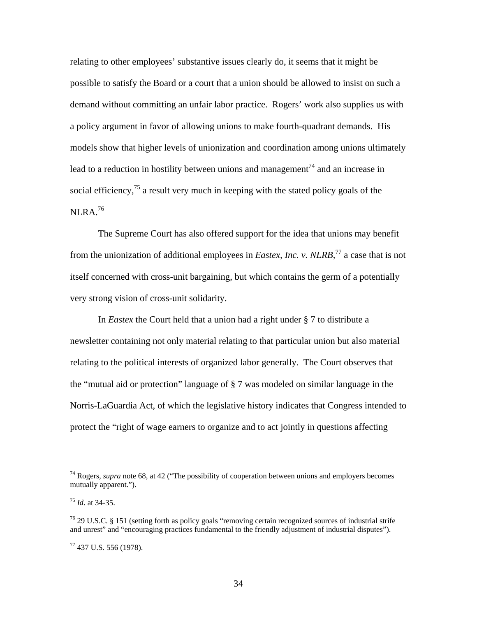relating to other employees' substantive issues clearly do, it seems that it might be possible to satisfy the Board or a court that a union should be allowed to insist on such a demand without committing an unfair labor practice. Rogers' work also supplies us with a policy argument in favor of allowing unions to make fourth-quadrant demands. His models show that higher levels of unionization and coordination among unions ultimately lead to a reduction in hostility between unions and management<sup> $74$ </sup> and an increase in social efficiency, $<sup>75</sup>$  a result very much in keeping with the stated policy goals of the</sup> NLRA $1/16$ 

The Supreme Court has also offered support for the idea that unions may benefit from the unionization of additional employees in *Eastex, Inc. v. NLRB*, 77 a case that is not itself concerned with cross-unit bargaining, but which contains the germ of a potentially very strong vision of cross-unit solidarity.

In *Eastex* the Court held that a union had a right under § 7 to distribute a newsletter containing not only material relating to that particular union but also material relating to the political interests of organized labor generally. The Court observes that the "mutual aid or protection" language of § 7 was modeled on similar language in the Norris-LaGuardia Act, of which the legislative history indicates that Congress intended to protect the "right of wage earners to organize and to act jointly in questions affecting

<sup>74</sup> Rogers, *supra* note 68, at 42 ("The possibility of cooperation between unions and employers becomes mutually apparent.").

<sup>75</sup> *Id.* at 34-35.

 $^{76}$  29 U.S.C. § 151 (setting forth as policy goals "removing certain recognized sources of industrial strife and unrest" and "encouraging practices fundamental to the friendly adjustment of industrial disputes").

 $77$  437 U.S. 556 (1978).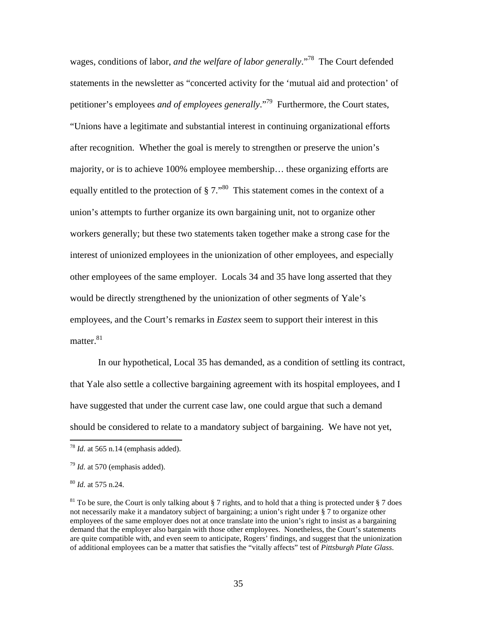wages, conditions of labor, *and the welfare of labor generally*."78 The Court defended statements in the newsletter as "concerted activity for the 'mutual aid and protection' of petitioner's employees *and of employees generally*."79 Furthermore, the Court states, "Unions have a legitimate and substantial interest in continuing organizational efforts after recognition. Whether the goal is merely to strengthen or preserve the union's majority, or is to achieve 100% employee membership… these organizing efforts are equally entitled to the protection of  $\S 7.^{80}$ . This statement comes in the context of a union's attempts to further organize its own bargaining unit, not to organize other workers generally; but these two statements taken together make a strong case for the interest of unionized employees in the unionization of other employees, and especially other employees of the same employer. Locals 34 and 35 have long asserted that they would be directly strengthened by the unionization of other segments of Yale's employees, and the Court's remarks in *Eastex* seem to support their interest in this matter. $81$ 

 In our hypothetical, Local 35 has demanded, as a condition of settling its contract, that Yale also settle a collective bargaining agreement with its hospital employees, and I have suggested that under the current case law, one could argue that such a demand should be considered to relate to a mandatory subject of bargaining. We have not yet,

 $^{78}$  *Id.* at 565 n.14 (emphasis added).

<sup>79</sup> *Id.* at 570 (emphasis added).

<sup>80</sup> *Id.* at 575 n.24.

<sup>&</sup>lt;sup>81</sup> To be sure, the Court is only talking about § 7 rights, and to hold that a thing is protected under § 7 does not necessarily make it a mandatory subject of bargaining; a union's right under § 7 to organize other employees of the same employer does not at once translate into the union's right to insist as a bargaining demand that the employer also bargain with those other employees. Nonetheless, the Court's statements are quite compatible with, and even seem to anticipate, Rogers' findings, and suggest that the unionization of additional employees can be a matter that satisfies the "vitally affects" test of *Pittsburgh Plate Glass*.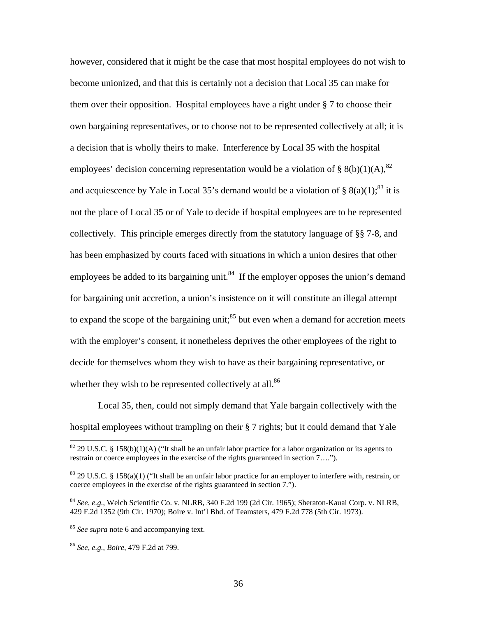however, considered that it might be the case that most hospital employees do not wish to become unionized, and that this is certainly not a decision that Local 35 can make for them over their opposition. Hospital employees have a right under § 7 to choose their own bargaining representatives, or to choose not to be represented collectively at all; it is a decision that is wholly theirs to make. Interference by Local 35 with the hospital employees' decision concerning representation would be a violation of § 8(b)(1)(A),<sup>82</sup> and acquiescence by Yale in Local 35's demand would be a violation of § 8(a)(1);<sup>83</sup> it is not the place of Local 35 or of Yale to decide if hospital employees are to be represented collectively. This principle emerges directly from the statutory language of §§ 7-8, and has been emphasized by courts faced with situations in which a union desires that other employees be added to its bargaining unit.<sup>84</sup> If the employer opposes the union's demand for bargaining unit accretion, a union's insistence on it will constitute an illegal attempt to expand the scope of the bargaining unit; $^{85}$  but even when a demand for accretion meets with the employer's consent, it nonetheless deprives the other employees of the right to decide for themselves whom they wish to have as their bargaining representative, or whether they wish to be represented collectively at all.<sup>86</sup>

 Local 35, then, could not simply demand that Yale bargain collectively with the hospital employees without trampling on their § 7 rights; but it could demand that Yale

<sup>&</sup>lt;sup>82</sup> 29 U.S.C. § 158(b)(1)(A) ("It shall be an unfair labor practice for a labor organization or its agents to restrain or coerce employees in the exercise of the rights guaranteed in section 7….").

<sup>83 29</sup> U.S.C. § 158(a)(1) ("It shall be an unfair labor practice for an employer to interfere with, restrain, or coerce employees in the exercise of the rights guaranteed in section 7.").

<sup>84</sup> *See, e.g.*, Welch Scientific Co. v. NLRB, 340 F.2d 199 (2d Cir. 1965); Sheraton-Kauai Corp. v. NLRB, 429 F.2d 1352 (9th Cir. 1970); Boire v. Int'l Bhd. of Teamsters, 479 F.2d 778 (5th Cir. 1973).

<sup>&</sup>lt;sup>85</sup> *See supra* note 6 and accompanying text.

<sup>86</sup> *See, e.g.*, *Boire*, 479 F.2d at 799.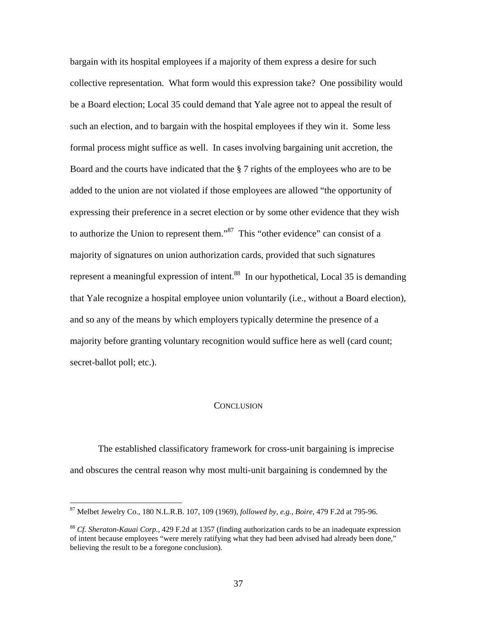bargain with its hospital employees if a majority of them express a desire for such collective representation. What form would this expression take? One possibility would be a Board election; Local 35 could demand that Yale agree not to appeal the result of such an election, and to bargain with the hospital employees if they win it. Some less formal process might suffice as well. In cases involving bargaining unit accretion, the Board and the courts have indicated that the § 7 rights of the employees who are to be added to the union are not violated if those employees are allowed "the opportunity of expressing their preference in a secret election or by some other evidence that they wish to authorize the Union to represent them."<sup>87</sup> This "other evidence" can consist of a majority of signatures on union authorization cards, provided that such signatures represent a meaningful expression of intent.<sup>88</sup> In our hypothetical, Local 35 is demanding that Yale recognize a hospital employee union voluntarily (i.e., without a Board election), and so any of the means by which employers typically determine the presence of a majority before granting voluntary recognition would suffice here as well (card count; secret-ballot poll; etc.).

#### **CONCLUSION**

 The established classificatory framework for cross-unit bargaining is imprecise and obscures the central reason why most multi-unit bargaining is condemned by the

<sup>87</sup> Melbet Jewelry Co., 180 N.L.R.B. 107, 109 (1969), *followed by, e.g.*, *Boire*, 479 F.2d at 795-96.

<sup>88</sup> *Cf. Sheraton-Kauai Corp.*, 429 F.2d at 1357 (finding authorization cards to be an inadequate expression of intent because employees "were merely ratifying what they had been advised had already been done," believing the result to be a foregone conclusion).